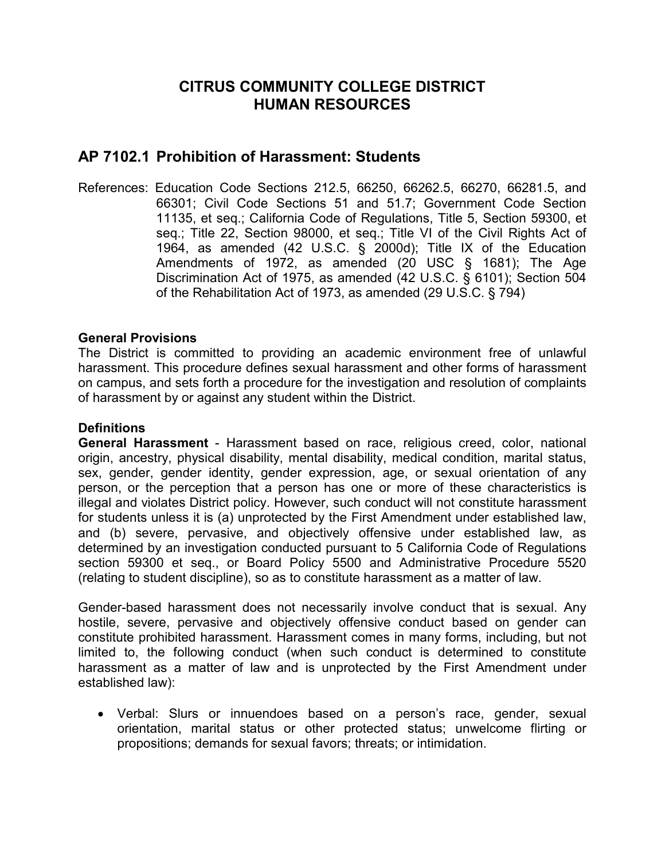## **CITRUS COMMUNITY COLLEGE DISTRICT HUMAN RESOURCES**

# **AP 7102.1 Prohibition of Harassment: Students**

References: Education Code Sections 212.5, 66250, 66262.5, 66270, 66281.5, and 66301; Civil Code Sections 51 and 51.7; Government Code Section 11135, et seq.; California Code of Regulations, Title 5, Section 59300, et seq.; Title 22, Section 98000, et seq.; Title VI of the Civil Rights Act of 1964, as amended (42 U.S.C. § 2000d); Title IX of the Education Amendments of 1972, as amended (20 USC § 1681); The Age Discrimination Act of 1975, as amended (42 U.S.C. § 6101); Section 504 of the Rehabilitation Act of 1973, as amended (29 U.S.C. § 794)

## **General Provisions**

The District is committed to providing an academic environment free of unlawful harassment. This procedure defines sexual harassment and other forms of harassment on campus, and sets forth a procedure for the investigation and resolution of complaints of harassment by or against any student within the District.

### **Definitions**

**General Harassment** - Harassment based on race, religious creed, color, national origin, ancestry, physical disability, mental disability, medical condition, marital status, sex, gender, gender identity, gender expression, age, or sexual orientation of any person, or the perception that a person has one or more of these characteristics is illegal and violates District policy. However, such conduct will not constitute harassment for students unless it is (a) unprotected by the First Amendment under established law, and (b) severe, pervasive, and objectively offensive under established law, as determined by an investigation conducted pursuant to 5 California Code of Regulations section 59300 et seq., or Board Policy 5500 and Administrative Procedure 5520 (relating to student discipline), so as to constitute harassment as a matter of law.

Gender-based harassment does not necessarily involve conduct that is sexual. Any hostile, severe, pervasive and objectively offensive conduct based on gender can constitute prohibited harassment. Harassment comes in many forms, including, but not limited to, the following conduct (when such conduct is determined to constitute harassment as a matter of law and is unprotected by the First Amendment under established law):

• Verbal: Slurs or innuendoes based on a person's race, gender, sexual orientation, marital status or other protected status; unwelcome flirting or propositions; demands for sexual favors; threats; or intimidation.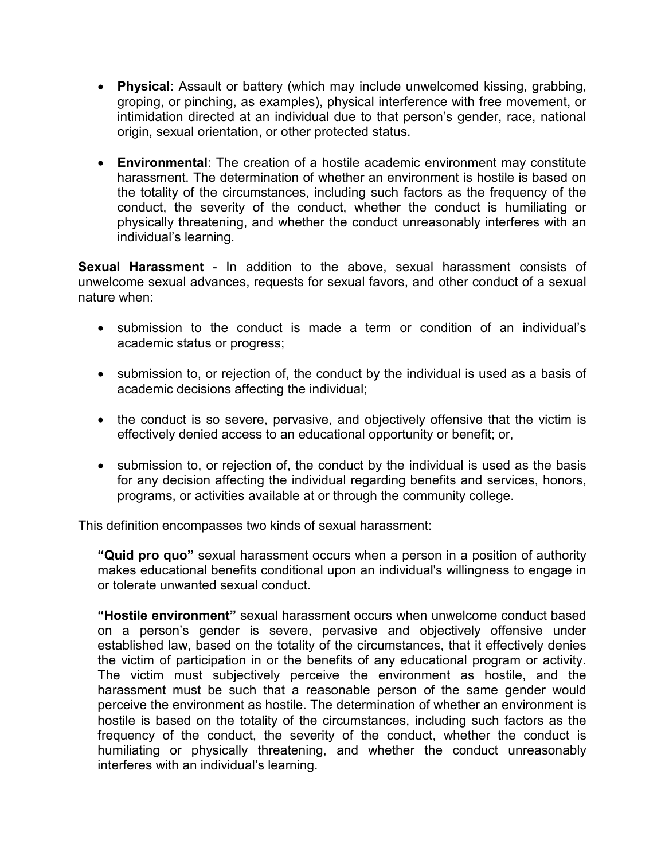- **Physical**: Assault or battery (which may include unwelcomed kissing, grabbing, groping, or pinching, as examples), physical interference with free movement, or intimidation directed at an individual due to that person's gender, race, national origin, sexual orientation, or other protected status.
- **Environmental**: The creation of a hostile academic environment may constitute harassment. The determination of whether an environment is hostile is based on the totality of the circumstances, including such factors as the frequency of the conduct, the severity of the conduct, whether the conduct is humiliating or physically threatening, and whether the conduct unreasonably interferes with an individual's learning.

**Sexual Harassment** - In addition to the above, sexual harassment consists of unwelcome sexual advances, requests for sexual favors, and other conduct of a sexual nature when:

- submission to the conduct is made a term or condition of an individual's academic status or progress;
- submission to, or rejection of, the conduct by the individual is used as a basis of academic decisions affecting the individual;
- the conduct is so severe, pervasive, and objectively offensive that the victim is effectively denied access to an educational opportunity or benefit; or,
- submission to, or rejection of, the conduct by the individual is used as the basis for any decision affecting the individual regarding benefits and services, honors, programs, or activities available at or through the community college.

This definition encompasses two kinds of sexual harassment:

**"Quid pro quo"** sexual harassment occurs when a person in a position of authority makes educational benefits conditional upon an individual's willingness to engage in or tolerate unwanted sexual conduct.

**"Hostile environment"** sexual harassment occurs when unwelcome conduct based on a person's gender is severe, pervasive and objectively offensive under established law, based on the totality of the circumstances, that it effectively denies the victim of participation in or the benefits of any educational program or activity. The victim must subjectively perceive the environment as hostile, and the harassment must be such that a reasonable person of the same gender would perceive the environment as hostile. The determination of whether an environment is hostile is based on the totality of the circumstances, including such factors as the frequency of the conduct, the severity of the conduct, whether the conduct is humiliating or physically threatening, and whether the conduct unreasonably interferes with an individual's learning.